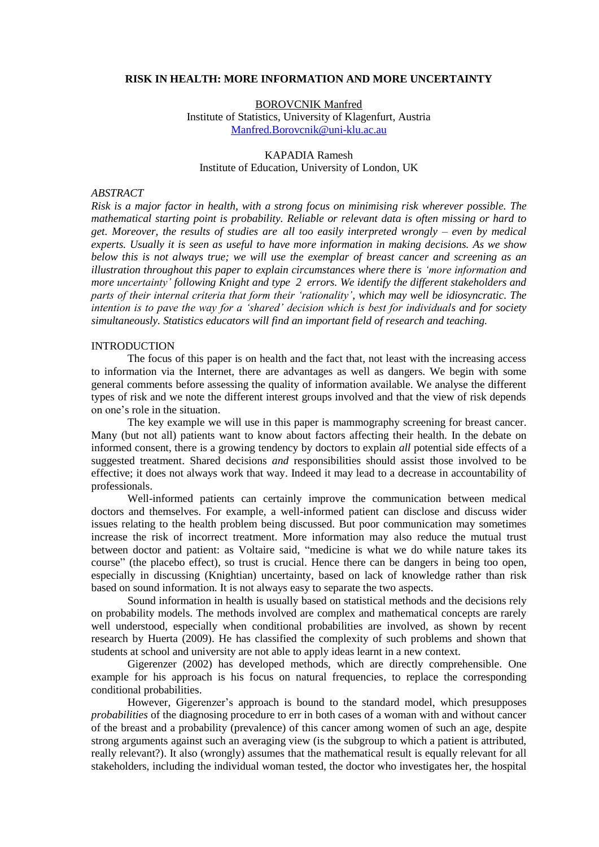#### **RISK IN HEALTH: MORE INFORMATION AND MORE UNCERTAINTY**

BOROVCNIK Manfred Institute of Statistics, University of Klagenfurt, Austria [Manfred.Borovcnik@uni-klu.ac.au](mailto:Manfred.Borovcnik@uni-klu.ac.au)

### KAPADIA Ramesh Institute of Education, University of London, UK

# *ABSTRACT*

*Risk is a major factor in health, with a strong focus on minimising risk wherever possible. The mathematical starting point is probability. Reliable or relevant data is often missing or hard to get. Moreover, the results of studies are all too easily interpreted wrongly – even by medical experts. Usually it is seen as useful to have more information in making decisions. As we show below this is not always true; we will use the exemplar of breast cancer and screening as an illustration throughout this paper to explain circumstances where there is 'more information and more uncertainty' following Knight and type 2 errors. We identify the different stakeholders and parts of their internal criteria that form their 'rationality', which may well be idiosyncratic. The intention is to pave the way for a 'shared' decision which is best for individuals and for society simultaneously. Statistics educators will find an important field of research and teaching.*

## **INTRODUCTION**

The focus of this paper is on health and the fact that, not least with the increasing access to information via the Internet, there are advantages as well as dangers. We begin with some general comments before assessing the quality of information available. We analyse the different types of risk and we note the different interest groups involved and that the view of risk depends on one"s role in the situation.

The key example we will use in this paper is mammography screening for breast cancer. Many (but not all) patients want to know about factors affecting their health. In the debate on informed consent, there is a growing tendency by doctors to explain *all* potential side effects of a suggested treatment. Shared decisions *and* responsibilities should assist those involved to be effective; it does not always work that way. Indeed it may lead to a decrease in accountability of professionals.

Well-informed patients can certainly improve the communication between medical doctors and themselves. For example, a well-informed patient can disclose and discuss wider issues relating to the health problem being discussed. But poor communication may sometimes increase the risk of incorrect treatment. More information may also reduce the mutual trust between doctor and patient: as Voltaire said, "medicine is what we do while nature takes its course" (the placebo effect), so trust is crucial. Hence there can be dangers in being too open, especially in discussing (Knightian) uncertainty, based on lack of knowledge rather than risk based on sound information. It is not always easy to separate the two aspects.

Sound information in health is usually based on statistical methods and the decisions rely on probability models. The methods involved are complex and mathematical concepts are rarely well understood, especially when conditional probabilities are involved, as shown by recent research by Huerta (2009). He has classified the complexity of such problems and shown that students at school and university are not able to apply ideas learnt in a new context.

Gigerenzer (2002) has developed methods, which are directly comprehensible. One example for his approach is his focus on natural frequencies, to replace the corresponding conditional probabilities.

However, Gigerenzer"s approach is bound to the standard model, which presupposes *probabilities* of the diagnosing procedure to err in both cases of a woman with and without cancer of the breast and a probability (prevalence) of this cancer among women of such an age, despite strong arguments against such an averaging view (is the subgroup to which a patient is attributed, really relevant?). It also (wrongly) assumes that the mathematical result is equally relevant for all stakeholders, including the individual woman tested, the doctor who investigates her, the hospital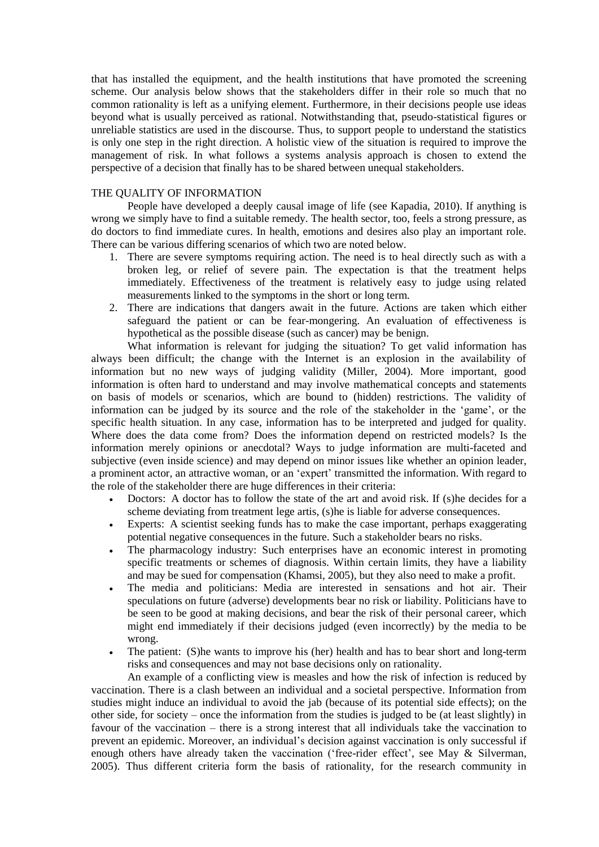that has installed the equipment, and the health institutions that have promoted the screening scheme. Our analysis below shows that the stakeholders differ in their role so much that no common rationality is left as a unifying element. Furthermore, in their decisions people use ideas beyond what is usually perceived as rational. Notwithstanding that, pseudo-statistical figures or unreliable statistics are used in the discourse. Thus, to support people to understand the statistics is only one step in the right direction. A holistic view of the situation is required to improve the management of risk. In what follows a systems analysis approach is chosen to extend the perspective of a decision that finally has to be shared between unequal stakeholders.

# THE QUALITY OF INFORMATION

People have developed a deeply causal image of life (see Kapadia, 2010). If anything is wrong we simply have to find a suitable remedy. The health sector, too, feels a strong pressure, as do doctors to find immediate cures. In health, emotions and desires also play an important role. There can be various differing scenarios of which two are noted below.

- 1. There are severe symptoms requiring action. The need is to heal directly such as with a broken leg, or relief of severe pain. The expectation is that the treatment helps immediately. Effectiveness of the treatment is relatively easy to judge using related measurements linked to the symptoms in the short or long term.
- 2. There are indications that dangers await in the future. Actions are taken which either safeguard the patient or can be fear-mongering. An evaluation of effectiveness is hypothetical as the possible disease (such as cancer) may be benign.

What information is relevant for judging the situation? To get valid information has always been difficult; the change with the Internet is an explosion in the availability of information but no new ways of judging validity (Miller, 2004). More important, good information is often hard to understand and may involve mathematical concepts and statements on basis of models or scenarios, which are bound to (hidden) restrictions. The validity of information can be judged by its source and the role of the stakeholder in the "game", or the specific health situation. In any case, information has to be interpreted and judged for quality. Where does the data come from? Does the information depend on restricted models? Is the information merely opinions or anecdotal? Ways to judge information are multi-faceted and subjective (even inside science) and may depend on minor issues like whether an opinion leader, a prominent actor, an attractive woman, or an 'expert' transmitted the information. With regard to the role of the stakeholder there are huge differences in their criteria:

- Doctors: A doctor has to follow the state of the art and avoid risk. If (s) he decides for a scheme deviating from treatment lege artis, (s)he is liable for adverse consequences.
- Experts: A scientist seeking funds has to make the case important, perhaps exaggerating potential negative consequences in the future. Such a stakeholder bears no risks.
- The pharmacology industry: Such enterprises have an economic interest in promoting specific treatments or schemes of diagnosis. Within certain limits, they have a liability and may be sued for compensation (Khamsi, 2005), but they also need to make a profit.
- The media and politicians: Media are interested in sensations and hot air. Their speculations on future (adverse) developments bear no risk or liability. Politicians have to be seen to be good at making decisions, and bear the risk of their personal career, which might end immediately if their decisions judged (even incorrectly) by the media to be wrong.
- The patient: (S)he wants to improve his (her) health and has to bear short and long-term risks and consequences and may not base decisions only on rationality.

An example of a conflicting view is measles and how the risk of infection is reduced by vaccination. There is a clash between an individual and a societal perspective. Information from studies might induce an individual to avoid the jab (because of its potential side effects); on the other side, for society – once the information from the studies is judged to be (at least slightly) in favour of the vaccination – there is a strong interest that all individuals take the vaccination to prevent an epidemic. Moreover, an individual's decision against vaccination is only successful if enough others have already taken the vaccination ('free-rider effect', see May  $\&$  Silverman, 2005). Thus different criteria form the basis of rationality, for the research community in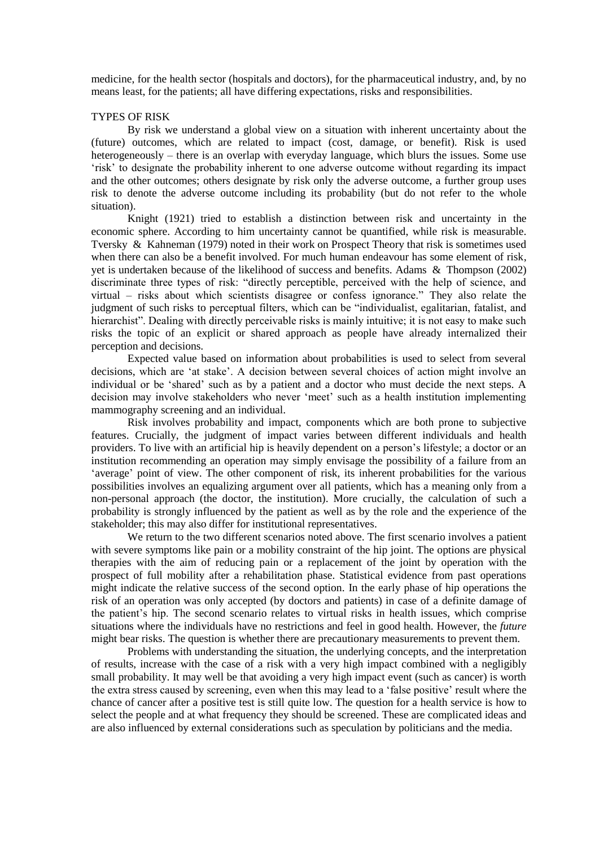medicine, for the health sector (hospitals and doctors), for the pharmaceutical industry, and, by no means least, for the patients; all have differing expectations, risks and responsibilities.

# TYPES OF RISK

By risk we understand a global view on a situation with inherent uncertainty about the (future) outcomes, which are related to impact (cost, damage, or benefit). Risk is used heterogeneously – there is an overlap with everyday language, which blurs the issues. Some use "risk" to designate the probability inherent to one adverse outcome without regarding its impact and the other outcomes; others designate by risk only the adverse outcome, a further group uses risk to denote the adverse outcome including its probability (but do not refer to the whole situation).

Knight (1921) tried to establish a distinction between risk and uncertainty in the economic sphere. According to him uncertainty cannot be quantified, while risk is measurable. Tversky & Kahneman (1979) noted in their work on Prospect Theory that risk is sometimes used when there can also be a benefit involved. For much human endeavour has some element of risk, yet is undertaken because of the likelihood of success and benefits. Adams & Thompson (2002) discriminate three types of risk: "directly perceptible, perceived with the help of science, and virtual – risks about which scientists disagree or confess ignorance." They also relate the judgment of such risks to perceptual filters, which can be "individualist, egalitarian, fatalist, and hierarchist". Dealing with directly perceivable risks is mainly intuitive; it is not easy to make such risks the topic of an explicit or shared approach as people have already internalized their perception and decisions.

Expected value based on information about probabilities is used to select from several decisions, which are "at stake". A decision between several choices of action might involve an individual or be "shared" such as by a patient and a doctor who must decide the next steps. A decision may involve stakeholders who never "meet" such as a health institution implementing mammography screening and an individual.

Risk involves probability and impact, components which are both prone to subjective features. Crucially, the judgment of impact varies between different individuals and health providers. To live with an artificial hip is heavily dependent on a person"s lifestyle; a doctor or an institution recommending an operation may simply envisage the possibility of a failure from an 'average' point of view. The other component of risk, its inherent probabilities for the various possibilities involves an equalizing argument over all patients, which has a meaning only from a non-personal approach (the doctor, the institution). More crucially, the calculation of such a probability is strongly influenced by the patient as well as by the role and the experience of the stakeholder; this may also differ for institutional representatives.

We return to the two different scenarios noted above. The first scenario involves a patient with severe symptoms like pain or a mobility constraint of the hip joint. The options are physical therapies with the aim of reducing pain or a replacement of the joint by operation with the prospect of full mobility after a rehabilitation phase. Statistical evidence from past operations might indicate the relative success of the second option. In the early phase of hip operations the risk of an operation was only accepted (by doctors and patients) in case of a definite damage of the patient"s hip. The second scenario relates to virtual risks in health issues, which comprise situations where the individuals have no restrictions and feel in good health. However, the *future* might bear risks. The question is whether there are precautionary measurements to prevent them.

Problems with understanding the situation, the underlying concepts, and the interpretation of results, increase with the case of a risk with a very high impact combined with a negligibly small probability. It may well be that avoiding a very high impact event (such as cancer) is worth the extra stress caused by screening, even when this may lead to a "false positive" result where the chance of cancer after a positive test is still quite low. The question for a health service is how to select the people and at what frequency they should be screened. These are complicated ideas and are also influenced by external considerations such as speculation by politicians and the media.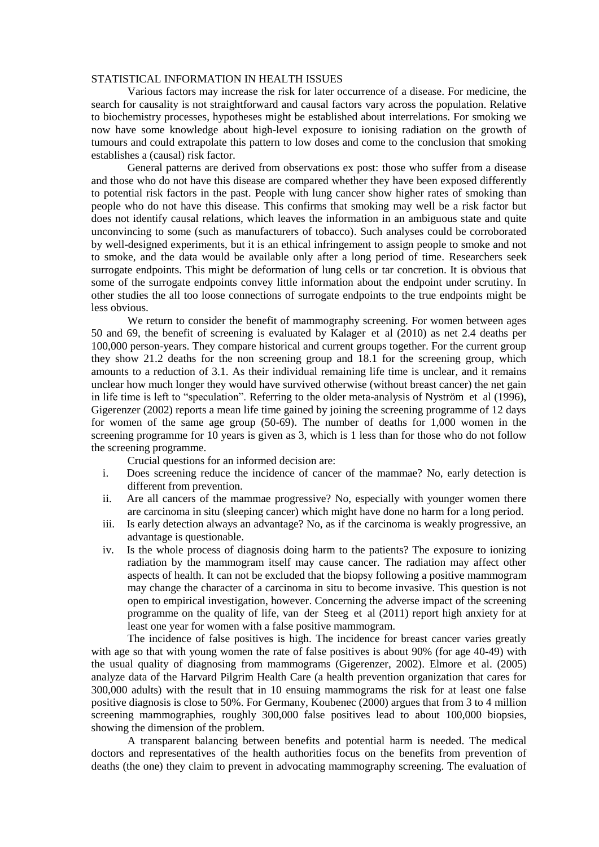### STATISTICAL INFORMATION IN HEALTH ISSUES

Various factors may increase the risk for later occurrence of a disease. For medicine, the search for causality is not straightforward and causal factors vary across the population. Relative to biochemistry processes, hypotheses might be established about interrelations. For smoking we now have some knowledge about high-level exposure to ionising radiation on the growth of tumours and could extrapolate this pattern to low doses and come to the conclusion that smoking establishes a (causal) risk factor.

General patterns are derived from observations ex post: those who suffer from a disease and those who do not have this disease are compared whether they have been exposed differently to potential risk factors in the past. People with lung cancer show higher rates of smoking than people who do not have this disease. This confirms that smoking may well be a risk factor but does not identify causal relations, which leaves the information in an ambiguous state and quite unconvincing to some (such as manufacturers of tobacco). Such analyses could be corroborated by well-designed experiments, but it is an ethical infringement to assign people to smoke and not to smoke, and the data would be available only after a long period of time. Researchers seek surrogate endpoints. This might be deformation of lung cells or tar concretion. It is obvious that some of the surrogate endpoints convey little information about the endpoint under scrutiny. In other studies the all too loose connections of surrogate endpoints to the true endpoints might be less obvious.

We return to consider the benefit of mammography screening. For women between ages 50 and 69, the benefit of screening is evaluated by Kalager et al (2010) as net 2.4 deaths per 100,000 person-years. They compare historical and current groups together. For the current group they show 21.2 deaths for the non screening group and 18.1 for the screening group, which amounts to a reduction of 3.1. As their individual remaining life time is unclear, and it remains unclear how much longer they would have survived otherwise (without breast cancer) the net gain in life time is left to "speculation". Referring to the older meta-analysis of Nyström et al (1996), Gigerenzer (2002) reports a mean life time gained by joining the screening programme of 12 days for women of the same age group (50-69). The number of deaths for 1,000 women in the screening programme for 10 years is given as 3, which is 1 less than for those who do not follow the screening programme.

Crucial questions for an informed decision are:

- i. Does screening reduce the incidence of cancer of the mammae? No, early detection is different from prevention.
- ii. Are all cancers of the mammae progressive? No, especially with younger women there are carcinoma in situ (sleeping cancer) which might have done no harm for a long period.
- iii. Is early detection always an advantage? No, as if the carcinoma is weakly progressive, an advantage is questionable.
- iv. Is the whole process of diagnosis doing harm to the patients? The exposure to ionizing radiation by the mammogram itself may cause cancer. The radiation may affect other aspects of health. It can not be excluded that the biopsy following a positive mammogram may change the character of a carcinoma in situ to become invasive. This question is not open to empirical investigation, however. Concerning the adverse impact of the screening programme on the quality of life, van der Steeg et al (2011) report high anxiety for at least one year for women with a false positive mammogram.

The incidence of false positives is high. The incidence for breast cancer varies greatly with age so that with young women the rate of false positives is about 90% (for age 40-49) with the usual quality of diagnosing from mammograms (Gigerenzer, 2002). Elmore et al. (2005) analyze data of the Harvard Pilgrim Health Care (a health prevention organization that cares for 300,000 adults) with the result that in 10 ensuing mammograms the risk for at least one false positive diagnosis is close to 50%. For Germany, Koubenec (2000) argues that from 3 to 4 million screening mammographies, roughly 300,000 false positives lead to about 100,000 biopsies, showing the dimension of the problem.

A transparent balancing between benefits and potential harm is needed. The medical doctors and representatives of the health authorities focus on the benefits from prevention of deaths (the one) they claim to prevent in advocating mammography screening. The evaluation of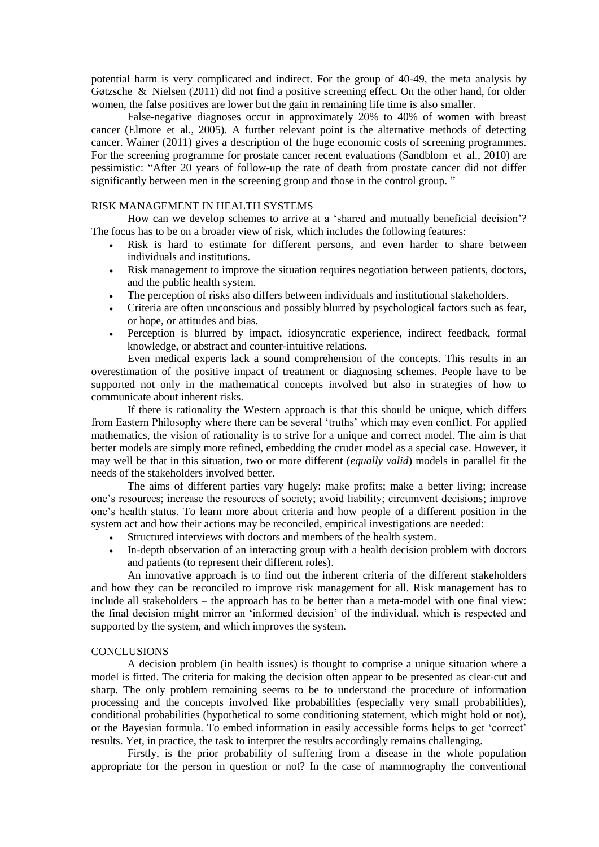potential harm is very complicated and indirect. For the group of 40-49, the meta analysis by Gøtzsche & Nielsen (2011) did not find a positive screening effect. On the other hand, for older women, the false positives are lower but the gain in remaining life time is also smaller.

False-negative diagnoses occur in approximately 20% to 40% of women with breast cancer (Elmore et al., 2005). A further relevant point is the alternative methods of detecting cancer. Wainer (2011) gives a description of the huge economic costs of screening programmes. For the screening programme for prostate cancer recent evaluations (Sandblom et al., 2010) are pessimistic: "After 20 years of follow-up the rate of death from prostate cancer did not differ significantly between men in the screening group and those in the control group. "

# RISK MANAGEMENT IN HEALTH SYSTEMS

How can we develop schemes to arrive at a "shared and mutually beneficial decision"? The focus has to be on a broader view of risk, which includes the following features:

- Risk is hard to estimate for different persons, and even harder to share between individuals and institutions.
- Risk management to improve the situation requires negotiation between patients, doctors, and the public health system.
- The perception of risks also differs between individuals and institutional stakeholders.
- Criteria are often unconscious and possibly blurred by psychological factors such as fear, or hope, or attitudes and bias.
- Perception is blurred by impact, idiosyncratic experience, indirect feedback, formal knowledge, or abstract and counter-intuitive relations.

Even medical experts lack a sound comprehension of the concepts. This results in an overestimation of the positive impact of treatment or diagnosing schemes. People have to be supported not only in the mathematical concepts involved but also in strategies of how to communicate about inherent risks.

If there is rationality the Western approach is that this should be unique, which differs from Eastern Philosophy where there can be several "truths" which may even conflict. For applied mathematics, the vision of rationality is to strive for a unique and correct model. The aim is that better models are simply more refined, embedding the cruder model as a special case. However, it may well be that in this situation, two or more different (*equally valid*) models in parallel fit the needs of the stakeholders involved better.

The aims of different parties vary hugely: make profits; make a better living; increase one"s resources; increase the resources of society; avoid liability; circumvent decisions; improve one"s health status. To learn more about criteria and how people of a different position in the system act and how their actions may be reconciled, empirical investigations are needed:

- Structured interviews with doctors and members of the health system.
- In-depth observation of an interacting group with a health decision problem with doctors and patients (to represent their different roles).

An innovative approach is to find out the inherent criteria of the different stakeholders and how they can be reconciled to improve risk management for all. Risk management has to include all stakeholders – the approach has to be better than a meta-model with one final view: the final decision might mirror an "informed decision" of the individual, which is respected and supported by the system, and which improves the system.

#### **CONCLUSIONS**

A decision problem (in health issues) is thought to comprise a unique situation where a model is fitted. The criteria for making the decision often appear to be presented as clear-cut and sharp. The only problem remaining seems to be to understand the procedure of information processing and the concepts involved like probabilities (especially very small probabilities), conditional probabilities (hypothetical to some conditioning statement, which might hold or not), or the Bayesian formula. To embed information in easily accessible forms helps to get "correct" results. Yet, in practice, the task to interpret the results accordingly remains challenging.

Firstly, is the prior probability of suffering from a disease in the whole population appropriate for the person in question or not? In the case of mammography the conventional